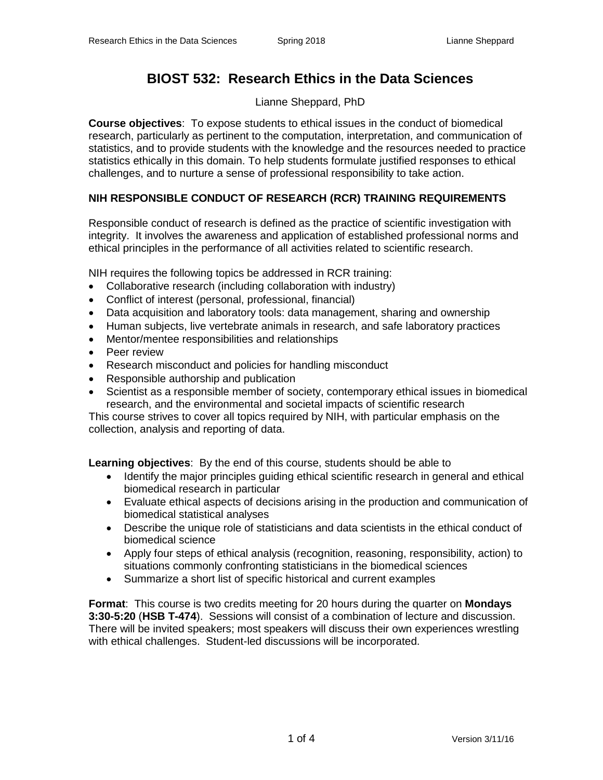# **BIOST 532: Research Ethics in the Data Sciences**

Lianne Sheppard, PhD

**Course objectives**: To expose students to ethical issues in the conduct of biomedical research, particularly as pertinent to the computation, interpretation, and communication of statistics, and to provide students with the knowledge and the resources needed to practice statistics ethically in this domain. To help students formulate justified responses to ethical challenges, and to nurture a sense of professional responsibility to take action.

## **NIH RESPONSIBLE CONDUCT OF RESEARCH (RCR) TRAINING REQUIREMENTS**

Responsible conduct of research is defined as the practice of scientific investigation with integrity. It involves the awareness and application of established professional norms and ethical principles in the performance of all activities related to scientific research.

NIH requires the following topics be addressed in RCR training:

- Collaborative research (including collaboration with industry)
- Conflict of interest (personal, professional, financial)
- Data acquisition and laboratory tools: data management, sharing and ownership
- Human subjects, live vertebrate animals in research, and safe laboratory practices
- Mentor/mentee responsibilities and relationships
- Peer review
- Research misconduct and policies for handling misconduct
- Responsible authorship and publication
- Scientist as a responsible member of society, contemporary ethical issues in biomedical research, and the environmental and societal impacts of scientific research

This course strives to cover all topics required by NIH, with particular emphasis on the collection, analysis and reporting of data.

**Learning objectives**: By the end of this course, students should be able to

- Identify the major principles guiding ethical scientific research in general and ethical biomedical research in particular
- Evaluate ethical aspects of decisions arising in the production and communication of biomedical statistical analyses
- Describe the unique role of statisticians and data scientists in the ethical conduct of biomedical science
- Apply four steps of ethical analysis (recognition, reasoning, responsibility, action) to situations commonly confronting statisticians in the biomedical sciences
- Summarize a short list of specific historical and current examples

**Format**: This course is two credits meeting for 20 hours during the quarter on **Mondays 3:30-5:20** (**HSB T-474**). Sessions will consist of a combination of lecture and discussion. There will be invited speakers; most speakers will discuss their own experiences wrestling with ethical challenges. Student-led discussions will be incorporated.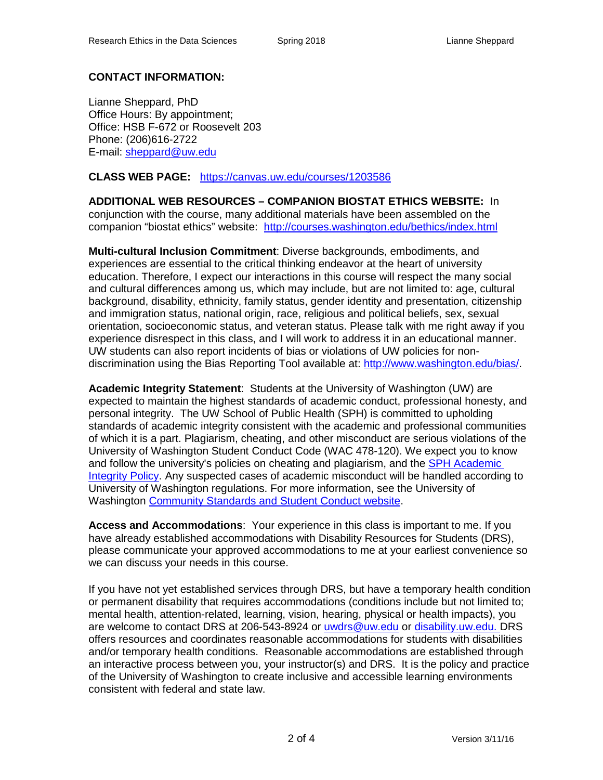### **CONTACT INFORMATION:**

Lianne Sheppard, PhD Office Hours: By appointment; Office: HSB F-672 or Roosevelt 203 Phone: (206)616-2722 E-mail: [sheppard@uw.edu](mailto:sheppard@uw.edu)

**CLASS WEB PAGE:** <https://canvas.uw.edu/courses/1203586>

**ADDITIONAL WEB RESOURCES – COMPANION BIOSTAT ETHICS WEBSITE:** In conjunction with the course, many additional materials have been assembled on the companion "biostat ethics" website: <http://courses.washington.edu/bethics/index.html>

**Multi-cultural Inclusion Commitment**: Diverse backgrounds, embodiments, and experiences are essential to the critical thinking endeavor at the heart of university education. Therefore, I expect our interactions in this course will respect the many social and cultural differences among us, which may include, but are not limited to: age, cultural background, disability, ethnicity, family status, gender identity and presentation, citizenship and immigration status, national origin, race, religious and political beliefs, sex, sexual orientation, socioeconomic status, and veteran status. Please talk with me right away if you experience disrespect in this class, and I will work to address it in an educational manner. UW students can also report incidents of bias or violations of UW policies for nondiscrimination using the Bias Reporting Tool available at: [http://www.washington.edu/bias/.](http://www.washington.edu/bias/)

**Academic Integrity Statement**: Students at the University of Washington (UW) are expected to maintain the highest standards of academic conduct, professional honesty, and personal integrity. The UW School of Public Health (SPH) is committed to upholding standards of academic integrity consistent with the academic and professional communities of which it is a part. Plagiarism, cheating, and other misconduct are serious violations of the University of Washington Student Conduct Code (WAC 478-120). We expect you to know and follow the university's policies on cheating and plagiarism, and the [SPH Academic](http://sph.washington.edu/students/academicintegrity/)  [Integrity Policy.](http://sph.washington.edu/students/academicintegrity/) Any suspected cases of academic misconduct will be handled according to University of Washington regulations. For more information, see the University of Washington [Community Standards and Student Conduct website.](http://www.washington.edu/cssc/)

**Access and Accommodations**: Your experience in this class is important to me. If you have already established accommodations with Disability Resources for Students (DRS), please communicate your approved accommodations to me at your earliest convenience so we can discuss your needs in this course.

If you have not yet established services through DRS, but have a temporary health condition or permanent disability that requires accommodations (conditions include but not limited to; mental health, attention-related, learning, vision, hearing, physical or health impacts), you are welcome to contact DRS at 206-543-8924 or [uwdrs@uw.edu](mailto:uwdrs@uw.edu) or [disability.uw.edu.](http://depts.washington.edu/uwdrs/) DRS offers resources and coordinates reasonable accommodations for students with disabilities and/or temporary health conditions. Reasonable accommodations are established through an interactive process between you, your instructor(s) and DRS. It is the policy and practice of the University of Washington to create inclusive and accessible learning environments consistent with federal and state law.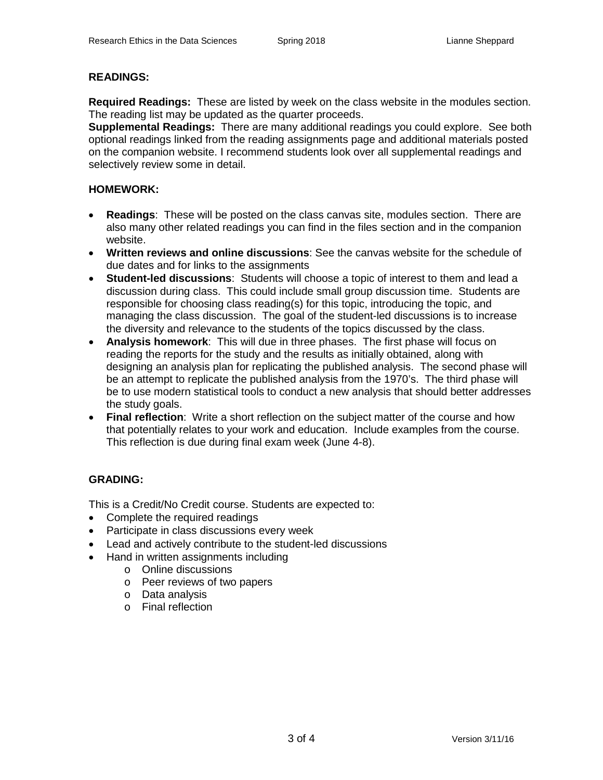#### **READINGS:**

**Required Readings:** These are listed by week on the class website in the modules section. The reading list may be updated as the quarter proceeds.

**Supplemental Readings:** There are many additional readings you could explore. See both optional readings linked from the reading assignments page and additional materials posted on the companion website. I recommend students look over all supplemental readings and selectively review some in detail.

#### **HOMEWORK:**

- **Readings**: These will be posted on the class canvas site, modules section. There are also many other related readings you can find in the files section and in the companion website.
- **Written reviews and online discussions**: See the canvas website for the schedule of due dates and for links to the assignments
- **Student-led discussions**: Students will choose a topic of interest to them and lead a discussion during class. This could include small group discussion time. Students are responsible for choosing class reading(s) for this topic, introducing the topic, and managing the class discussion. The goal of the student-led discussions is to increase the diversity and relevance to the students of the topics discussed by the class.
- **Analysis homework**: This will due in three phases. The first phase will focus on reading the reports for the study and the results as initially obtained, along with designing an analysis plan for replicating the published analysis. The second phase will be an attempt to replicate the published analysis from the 1970's. The third phase will be to use modern statistical tools to conduct a new analysis that should better addresses the study goals.
- **Final reflection**: Write a short reflection on the subject matter of the course and how that potentially relates to your work and education. Include examples from the course. This reflection is due during final exam week (June 4-8).

#### **GRADING:**

This is a Credit/No Credit course. Students are expected to:

- Complete the required readings
- Participate in class discussions every week
- Lead and actively contribute to the student-led discussions
- Hand in written assignments including
	- o Online discussions
	- o Peer reviews of two papers
	- o Data analysis
	- o Final reflection